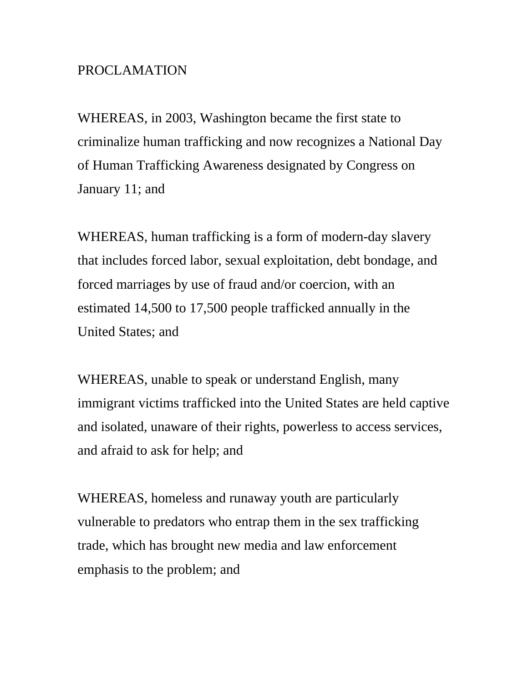## PROCLAMATION

WHEREAS, in 2003, Washington became the first state to criminalize human trafficking and now recognizes a National Day of Human Trafficking Awareness designated by Congress on January 11; and

WHEREAS, human trafficking is a form of modern-day slavery that includes forced labor, sexual exploitation, debt bondage, and forced marriages by use of fraud and/or coercion, with an estimated 14,500 to 17,500 people trafficked annually in the United States; and

WHEREAS, unable to speak or understand English, many immigrant victims trafficked into the United States are held captive and isolated, unaware of their rights, powerless to access services, and afraid to ask for help; and

WHEREAS, homeless and runaway youth are particularly vulnerable to predators who entrap them in the sex trafficking trade, which has brought new media and law enforcement emphasis to the problem; and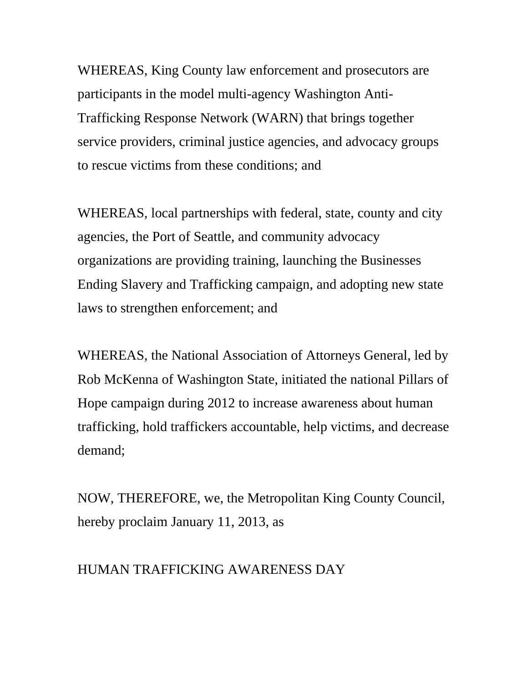WHEREAS, King County law enforcement and prosecutors are participants in the model multi-agency Washington Anti-Trafficking Response Network (WARN) that brings together service providers, criminal justice agencies, and advocacy groups to rescue victims from these conditions; and

WHEREAS, local partnerships with federal, state, county and city agencies, the Port of Seattle, and community advocacy organizations are providing training, launching the Businesses Ending Slavery and Trafficking campaign, and adopting new state laws to strengthen enforcement; and

WHEREAS, the National Association of Attorneys General, led by Rob McKenna of Washington State, initiated the national Pillars of Hope campaign during 2012 to increase awareness about human trafficking, hold traffickers accountable, help victims, and decrease demand;

NOW, THEREFORE, we, the Metropolitan King County Council, hereby proclaim January 11, 2013, as

## HUMAN TRAFFICKING AWARENESS DAY